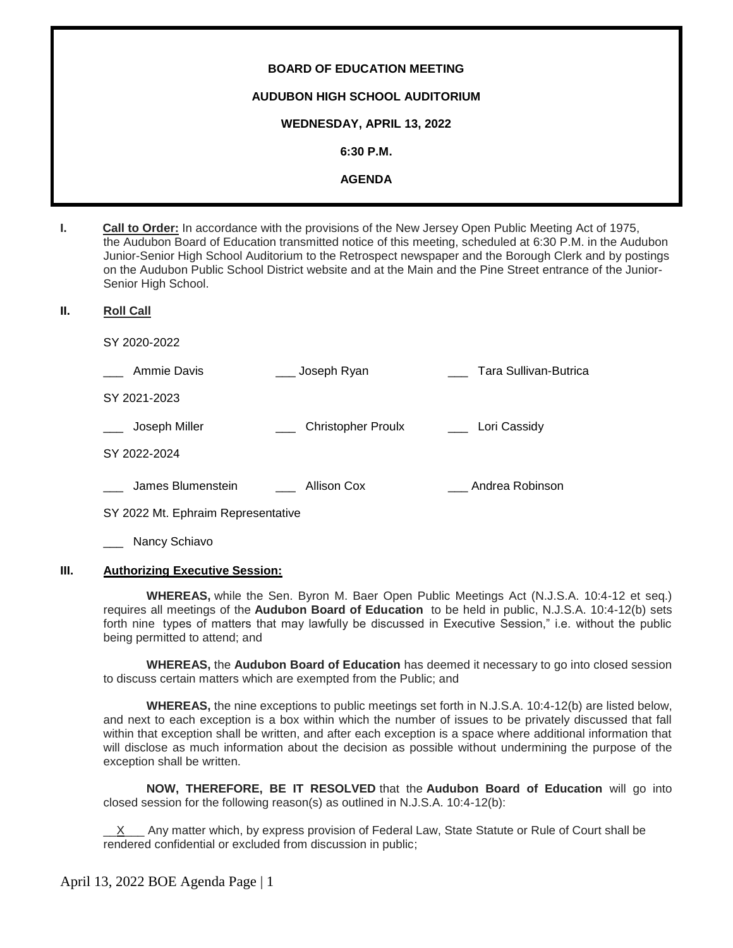# **BOARD OF EDUCATION MEETING AUDUBON HIGH SCHOOL AUDITORIUM WEDNESDAY, APRIL 13, 2022 6:30 P.M. AGENDA**

**I. Call to Order:** In accordance with the provisions of the New Jersey Open Public Meeting Act of 1975, the Audubon Board of Education transmitted notice of this meeting, scheduled at 6:30 P.M. in the Audubon Junior-Senior High School Auditorium to the Retrospect newspaper and the Borough Clerk and by postings on the Audubon Public School District website and at the Main and the Pine Street entrance of the Junior-Senior High School.

## **II. Roll Call**

SY 2020-2022

| Ammie Davis       | Joseph Ryan               | Tara Sullivan-Butrica |
|-------------------|---------------------------|-----------------------|
| SY 2021-2023      |                           |                       |
| Joseph Miller     | <b>Christopher Proulx</b> | Lori Cassidy          |
| SY 2022-2024      |                           |                       |
| James Blumenstein | Allison Cox               | Andrea Robinson       |

SY 2022 Mt. Ephraim Representative

Nancy Schiavo

# **III. Authorizing Executive Session:**

**WHEREAS,** while the Sen. Byron M. Baer Open Public Meetings Act (N.J.S.A. 10:4-12 et seq.) requires all meetings of the **Audubon Board of Education** to be held in public, N.J.S.A. 10:4-12(b) sets forth nine types of matters that may lawfully be discussed in Executive Session," i.e. without the public being permitted to attend; and

**WHEREAS,** the **Audubon Board of Education** has deemed it necessary to go into closed session to discuss certain matters which are exempted from the Public; and

**WHEREAS,** the nine exceptions to public meetings set forth in N.J.S.A. 10:4-12(b) are listed below, and next to each exception is a box within which the number of issues to be privately discussed that fall within that exception shall be written, and after each exception is a space where additional information that will disclose as much information about the decision as possible without undermining the purpose of the exception shall be written.

**NOW, THEREFORE, BE IT RESOLVED** that the **Audubon Board of Education** will go into closed session for the following reason(s) as outlined in N.J.S.A. 10:4-12(b):

\_\_X\_\_\_ Any matter which, by express provision of Federal Law, State Statute or Rule of Court shall be rendered confidential or excluded from discussion in public;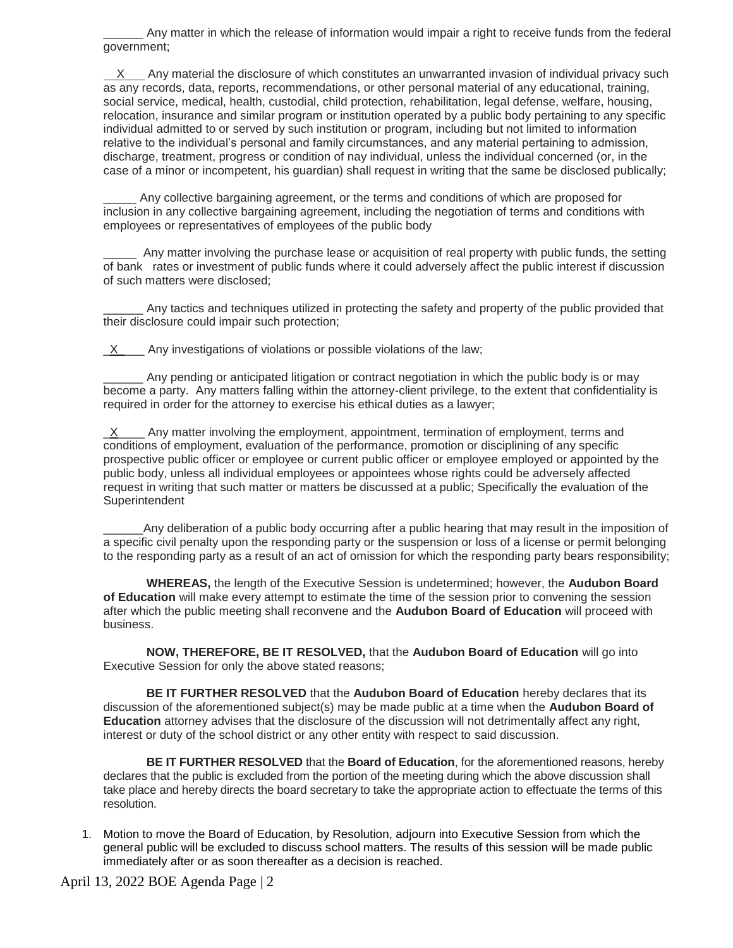\_\_\_\_\_\_ Any matter in which the release of information would impair a right to receive funds from the federal government;

 X Any material the disclosure of which constitutes an unwarranted invasion of individual privacy such as any records, data, reports, recommendations, or other personal material of any educational, training, social service, medical, health, custodial, child protection, rehabilitation, legal defense, welfare, housing, relocation, insurance and similar program or institution operated by a public body pertaining to any specific individual admitted to or served by such institution or program, including but not limited to information relative to the individual's personal and family circumstances, and any material pertaining to admission, discharge, treatment, progress or condition of nay individual, unless the individual concerned (or, in the case of a minor or incompetent, his guardian) shall request in writing that the same be disclosed publically;

Any collective bargaining agreement, or the terms and conditions of which are proposed for inclusion in any collective bargaining agreement, including the negotiation of terms and conditions with employees or representatives of employees of the public body

\_\_\_\_\_ Any matter involving the purchase lease or acquisition of real property with public funds, the setting of bank rates or investment of public funds where it could adversely affect the public interest if discussion of such matters were disclosed;

Any tactics and techniques utilized in protecting the safety and property of the public provided that their disclosure could impair such protection;

 $X$  Any investigations of violations or possible violations of the law;

\_\_\_\_\_\_ Any pending or anticipated litigation or contract negotiation in which the public body is or may become a party. Any matters falling within the attorney-client privilege, to the extent that confidentiality is required in order for the attorney to exercise his ethical duties as a lawyer;

 $X$  Any matter involving the employment, appointment, termination of employment, terms and conditions of employment, evaluation of the performance, promotion or disciplining of any specific prospective public officer or employee or current public officer or employee employed or appointed by the public body, unless all individual employees or appointees whose rights could be adversely affected request in writing that such matter or matters be discussed at a public; Specifically the evaluation of the Superintendent

Any deliberation of a public body occurring after a public hearing that may result in the imposition of a specific civil penalty upon the responding party or the suspension or loss of a license or permit belonging to the responding party as a result of an act of omission for which the responding party bears responsibility;

**WHEREAS,** the length of the Executive Session is undetermined; however, the **Audubon Board of Education** will make every attempt to estimate the time of the session prior to convening the session after which the public meeting shall reconvene and the **Audubon Board of Education** will proceed with business.

**NOW, THEREFORE, BE IT RESOLVED,** that the **Audubon Board of Education** will go into Executive Session for only the above stated reasons;

**BE IT FURTHER RESOLVED** that the **Audubon Board of Education** hereby declares that its discussion of the aforementioned subject(s) may be made public at a time when the **Audubon Board of Education** attorney advises that the disclosure of the discussion will not detrimentally affect any right, interest or duty of the school district or any other entity with respect to said discussion.

**BE IT FURTHER RESOLVED** that the **Board of Education**, for the aforementioned reasons, hereby declares that the public is excluded from the portion of the meeting during which the above discussion shall take place and hereby directs the board secretary to take the appropriate action to effectuate the terms of this resolution.

1. Motion to move the Board of Education, by Resolution, adjourn into Executive Session from which the general public will be excluded to discuss school matters. The results of this session will be made public immediately after or as soon thereafter as a decision is reached.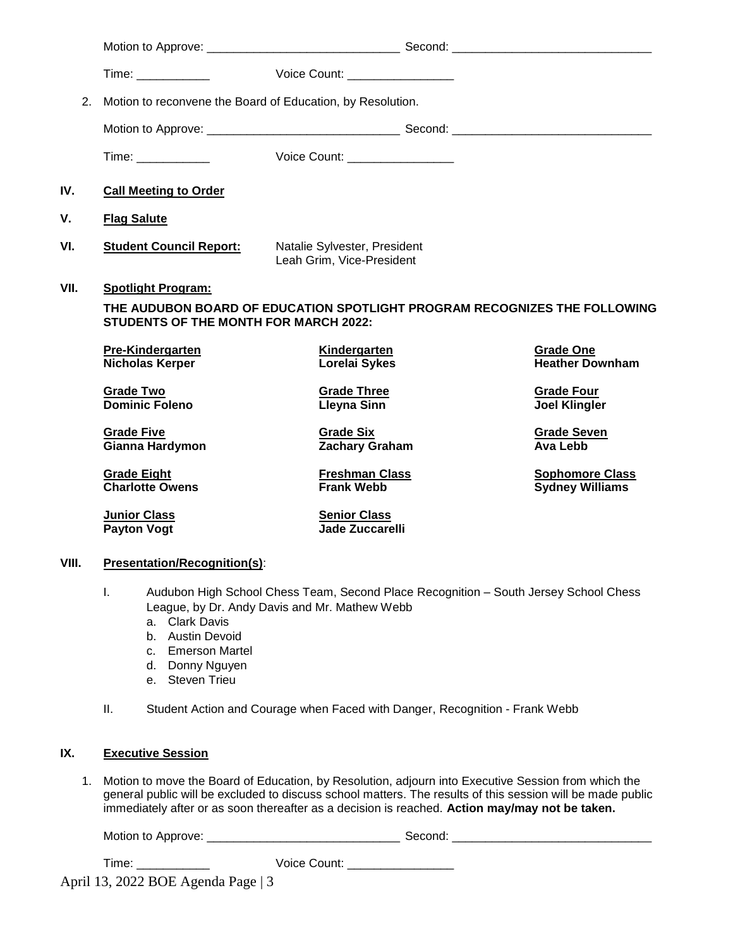|       |                                                   | Voice Count: _________________                                                                                                        |                                                  |
|-------|---------------------------------------------------|---------------------------------------------------------------------------------------------------------------------------------------|--------------------------------------------------|
| 2.    |                                                   | Motion to reconvene the Board of Education, by Resolution.                                                                            |                                                  |
|       |                                                   |                                                                                                                                       |                                                  |
|       |                                                   | Voice Count: <u>_______________</u>                                                                                                   |                                                  |
| IV.   | <b>Call Meeting to Order</b>                      |                                                                                                                                       |                                                  |
| ٧.    | <b>Flag Salute</b>                                |                                                                                                                                       |                                                  |
| VI.   | <b>Student Council Report:</b>                    | Natalie Sylvester, President<br>Leah Grim, Vice-President                                                                             |                                                  |
| VII.  | <b>Spotlight Program:</b>                         |                                                                                                                                       |                                                  |
|       | <b>STUDENTS OF THE MONTH FOR MARCH 2022:</b>      | THE AUDUBON BOARD OF EDUCATION SPOTLIGHT PROGRAM RECOGNIZES THE FOLLOWING                                                             |                                                  |
|       | <b>Pre-Kindergarten</b><br><b>Nicholas Kerper</b> | <b>Kindergarten</b><br>Lorelai Sykes                                                                                                  | <b>Grade One</b><br><b>Heather Downham</b>       |
|       | <b>Grade Two</b><br><b>Dominic Foleno</b>         | <b>Grade Three</b><br><b>Lleyna Sinn</b>                                                                                              | <b>Grade Four</b><br><b>Joel Klingler</b>        |
|       | <b>Grade Five</b><br>Gianna Hardymon              | <b>Grade Six</b><br><b>Zachary Graham</b>                                                                                             | <b>Grade Seven</b><br>Ava Lebb                   |
|       | <b>Grade Eight</b><br><b>Charlotte Owens</b>      | <b>Freshman Class</b><br><b>Frank Webb</b>                                                                                            | <b>Sophomore Class</b><br><b>Sydney Williams</b> |
|       | <b>Junior Class</b><br><b>Payton Vogt</b>         | <b>Senior Class</b><br><b>Jade Zuccarelli</b>                                                                                         |                                                  |
| VIII. | <b>Presentation/Recognition(s):</b>               |                                                                                                                                       |                                                  |
|       | $\mathbf{L}$                                      | Audubon High School Chess Team, Second Place Recognition - South Jersey School Chess<br>League, by Dr. Andy Davis and Mr. Mathew Webb |                                                  |

- a. Clark Davis
- b. Austin Devoid
- c. Emerson Martel
- d. Donny Nguyen
- e. Steven Trieu
- II. Student Action and Courage when Faced with Danger, Recognition Frank Webb

# **IX. Executive Session**

1. Motion to move the Board of Education, by Resolution, adjourn into Executive Session from which the general public will be excluded to discuss school matters. The results of this session will be made public immediately after or as soon thereafter as a decision is reached. **Action may/may not be taken.**

| Motion to<br><b>sporove</b><br>- | ∵ ہے … |  |
|----------------------------------|--------|--|
|                                  |        |  |

| Time: | Voice Count: |
|-------|--------------|
|       |              |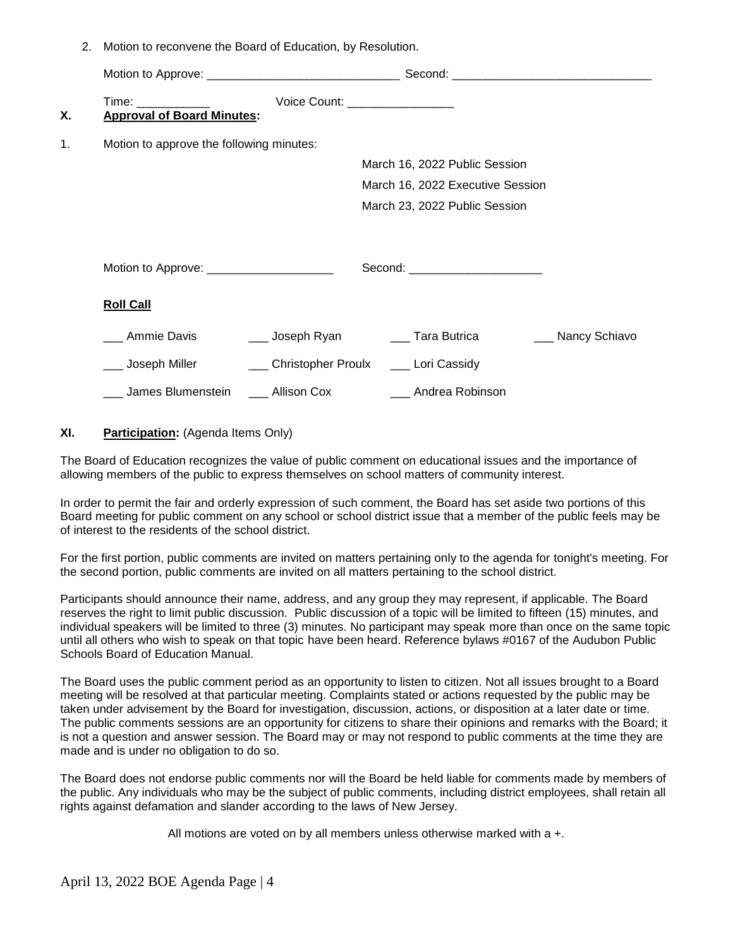2. Motion to reconvene the Board of Education, by Resolution.

| Х. | Time: _____________<br><b>Approval of Board Minutes:</b>         | Voice Count: _________________                                                                                   |  |
|----|------------------------------------------------------------------|------------------------------------------------------------------------------------------------------------------|--|
| 1. | Motion to approve the following minutes:                         |                                                                                                                  |  |
|    |                                                                  | March 16, 2022 Public Session                                                                                    |  |
|    |                                                                  | March 16, 2022 Executive Session                                                                                 |  |
|    |                                                                  | March 23, 2022 Public Session                                                                                    |  |
|    | Motion to Approve: ______________________                        | Second: _________________________                                                                                |  |
|    |                                                                  |                                                                                                                  |  |
|    | <b>Roll Call</b>                                                 |                                                                                                                  |  |
|    | __ Ammie Davis                                                   | Loseph Ryan Loseph Ryan Communication Control of Tara Butrica Loseph Ryan Communication Control of Nancy Schiavo |  |
|    | ___ Joseph Miller _________ Christopher Proulx ____ Lori Cassidy |                                                                                                                  |  |
|    | ____ James Blumenstein _____ Allison Cox                         | ___ Andrea Robinson                                                                                              |  |

#### **XI. Participation:** (Agenda Items Only)

The Board of Education recognizes the value of public comment on educational issues and the importance of allowing members of the public to express themselves on school matters of community interest.

In order to permit the fair and orderly expression of such comment, the Board has set aside two portions of this Board meeting for public comment on any school or school district issue that a member of the public feels may be of interest to the residents of the school district.

For the first portion, public comments are invited on matters pertaining only to the agenda for tonight's meeting. For the second portion, public comments are invited on all matters pertaining to the school district.

Participants should announce their name, address, and any group they may represent, if applicable. The Board reserves the right to limit public discussion. Public discussion of a topic will be limited to fifteen (15) minutes, and individual speakers will be limited to three (3) minutes. No participant may speak more than once on the same topic until all others who wish to speak on that topic have been heard. Reference bylaws #0167 of the Audubon Public Schools Board of Education Manual.

The Board uses the public comment period as an opportunity to listen to citizen. Not all issues brought to a Board meeting will be resolved at that particular meeting. Complaints stated or actions requested by the public may be taken under advisement by the Board for investigation, discussion, actions, or disposition at a later date or time. The public comments sessions are an opportunity for citizens to share their opinions and remarks with the Board; it is not a question and answer session. The Board may or may not respond to public comments at the time they are made and is under no obligation to do so.

The Board does not endorse public comments nor will the Board be held liable for comments made by members of the public. Any individuals who may be the subject of public comments, including district employees, shall retain all rights against defamation and slander according to the laws of New Jersey.

All motions are voted on by all members unless otherwise marked with a +.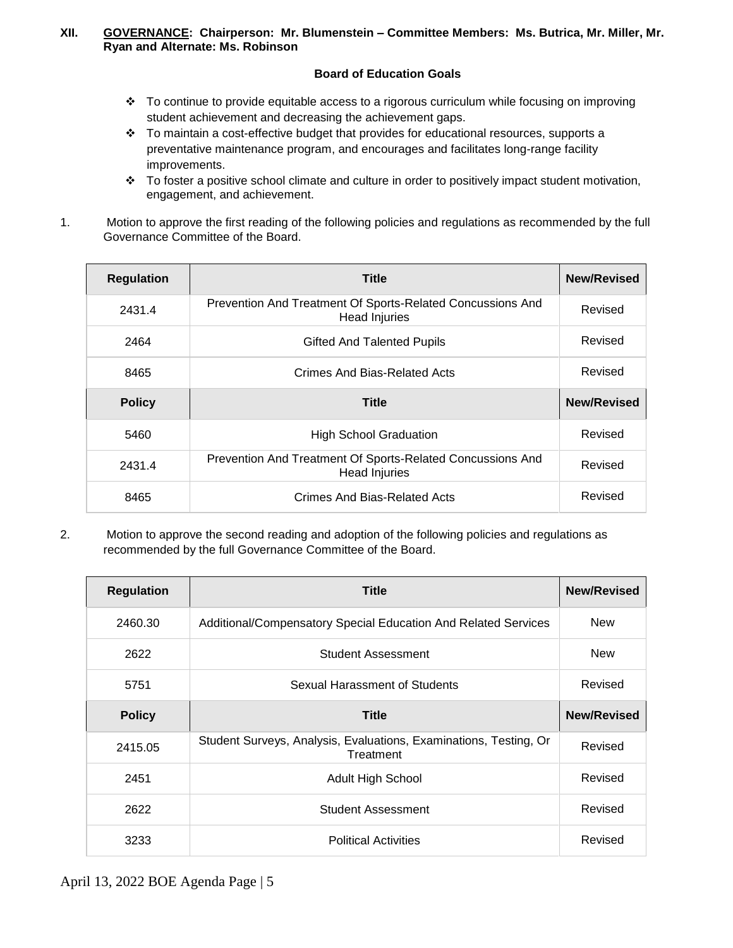## **XII. GOVERNANCE: Chairperson: Mr. Blumenstein – Committee Members: Ms. Butrica, Mr. Miller, Mr. Ryan and Alternate: Ms. Robinson**

# **Board of Education Goals**

- To continue to provide equitable access to a rigorous curriculum while focusing on improving student achievement and decreasing the achievement gaps.
- $\cdot \cdot$  To maintain a cost-effective budget that provides for educational resources, supports a preventative maintenance program, and encourages and facilitates long-range facility improvements.
- \* To foster a positive school climate and culture in order to positively impact student motivation, engagement, and achievement.
- 1. Motion to approve the first reading of the following policies and regulations as recommended by the full Governance Committee of the Board.

| <b>Regulation</b> | <b>Title</b>                                                                       | <b>New/Revised</b> |
|-------------------|------------------------------------------------------------------------------------|--------------------|
| 2431.4            | Prevention And Treatment Of Sports-Related Concussions And<br><b>Head Injuries</b> | Revised            |
| 2464              | <b>Gifted And Talented Pupils</b>                                                  | Revised            |
| 8465              | Crimes And Bias-Related Acts                                                       | Revised            |
| <b>Policy</b>     | Title                                                                              | <b>New/Revised</b> |
| 5460              | <b>High School Graduation</b>                                                      | Revised            |
| 2431.4            | Prevention And Treatment Of Sports-Related Concussions And<br>Head Injuries        | Revised            |
| 8465              | Crimes And Bias-Related Acts                                                       | Revised            |

2. Motion to approve the second reading and adoption of the following policies and regulations as recommended by the full Governance Committee of the Board.

| <b>Regulation</b> | <b>Title</b>                                                                   | <b>New/Revised</b> |
|-------------------|--------------------------------------------------------------------------------|--------------------|
| 2460.30           | Additional/Compensatory Special Education And Related Services                 | <b>New</b>         |
| 2622              | <b>Student Assessment</b>                                                      | <b>New</b>         |
| 5751              | Sexual Harassment of Students                                                  | Revised            |
| <b>Policy</b>     | <b>Title</b>                                                                   | <b>New/Revised</b> |
| 2415.05           | Student Surveys, Analysis, Evaluations, Examinations, Testing, Or<br>Treatment | Revised            |
| 2451              | <b>Adult High School</b>                                                       | Revised            |
| 2622              | <b>Student Assessment</b>                                                      | Revised            |
| 3233              | <b>Political Activities</b>                                                    | Revised            |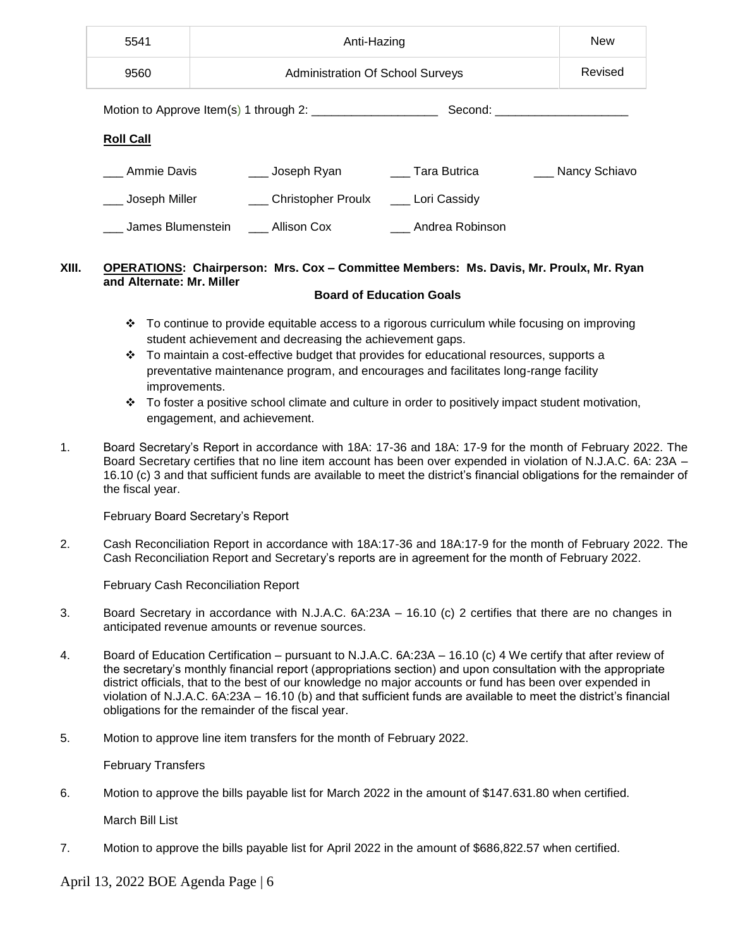| 5541<br>Anti-Hazing             |                                         |  |                                                                                 |         | <b>New</b>        |
|---------------------------------|-----------------------------------------|--|---------------------------------------------------------------------------------|---------|-------------------|
| 9560                            | <b>Administration Of School Surveys</b> |  |                                                                                 | Revised |                   |
| Second: _______________________ |                                         |  |                                                                                 |         |                   |
| <b>Roll Call</b>                |                                         |  |                                                                                 |         |                   |
| Ammie Davis                     |                                         |  | Loseph Ryan Loseph Ryan Loseph Ryan Loseph Ryan Loseph Ryan Loseph Tara Butrica |         | ___ Nancy Schiavo |
| Joseph Miller                   |                                         |  | Christopher Proulx _____ Lori Cassidy                                           |         |                   |
| James Blumenstein               | ____ Allison Cox                        |  | ___ Andrea Robinson                                                             |         |                   |

# **XIII. OPERATIONS: Chairperson: Mrs. Cox – Committee Members: Ms. Davis, Mr. Proulx, Mr. Ryan and Alternate: Mr. Miller**

## **Board of Education Goals**

- $\div$  To continue to provide equitable access to a rigorous curriculum while focusing on improving student achievement and decreasing the achievement gaps.
- \* To maintain a cost-effective budget that provides for educational resources, supports a preventative maintenance program, and encourages and facilitates long-range facility improvements.
- $\cdot \cdot$  To foster a positive school climate and culture in order to positively impact student motivation, engagement, and achievement.
- 1. Board Secretary's Report in accordance with 18A: 17-36 and 18A: 17-9 for the month of February 2022. The Board Secretary certifies that no line item account has been over expended in violation of N.J.A.C. 6A: 23A – 16.10 (c) 3 and that sufficient funds are available to meet the district's financial obligations for the remainder of the fiscal year.

February Board Secretary's Report

2. Cash Reconciliation Report in accordance with 18A:17-36 and 18A:17-9 for the month of February 2022. The Cash Reconciliation Report and Secretary's reports are in agreement for the month of February 2022.

February Cash Reconciliation Report

- 3.Board Secretary in accordance with N.J.A.C. 6A:23A 16.10 (c) 2 certifies that there are no changes in anticipated revenue amounts or revenue sources.
- 4. Board of Education Certification pursuant to N.J.A.C. 6A:23A 16.10 (c) 4 We certify that after review of the secretary's monthly financial report (appropriations section) and upon consultation with the appropriate district officials, that to the best of our knowledge no major accounts or fund has been over expended in violation of N.J.A.C. 6A:23A – 16.10 (b) and that sufficient funds are available to meet the district's financial obligations for the remainder of the fiscal year.
- 5. Motion to approve line item transfers for the month of February 2022.

February Transfers

6. Motion to approve the bills payable list for March 2022 in the amount of \$147.631.80 when certified.

March Bill List

7. Motion to approve the bills payable list for April 2022 in the amount of \$686,822.57 when certified.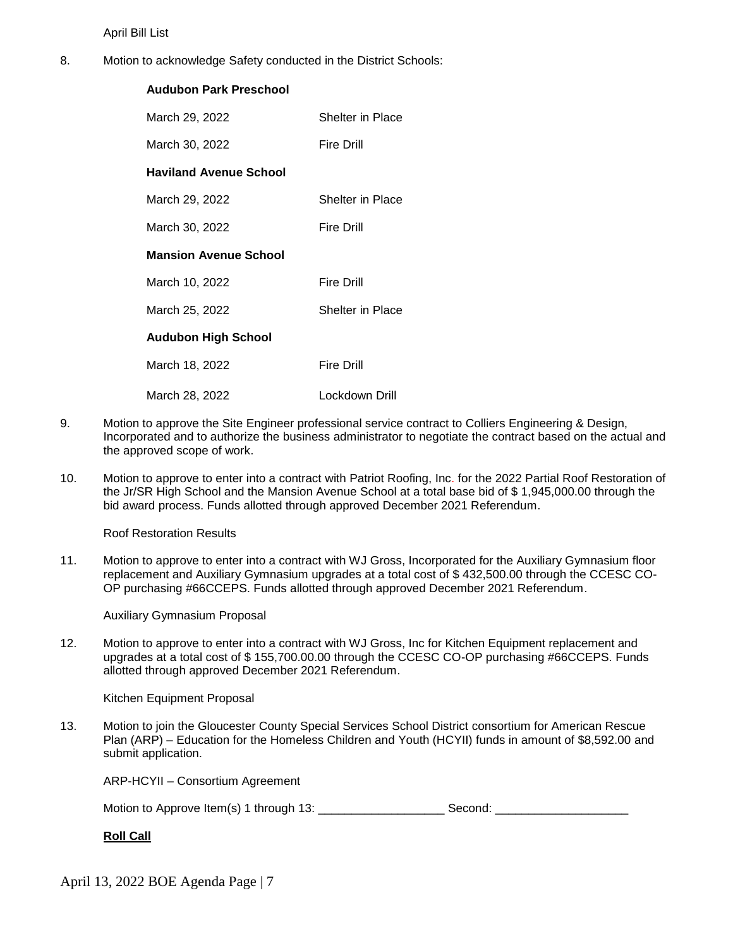April Bill List

8. Motion to acknowledge Safety conducted in the District Schools:

# **Audubon Park Preschool**

| March 29, 2022                | Shelter in Place  |
|-------------------------------|-------------------|
| March 30, 2022                | Fire Drill        |
| <b>Haviland Avenue School</b> |                   |
| March 29, 2022                | Shelter in Place  |
| March 30, 2022                | <b>Fire Drill</b> |
| <b>Mansion Avenue School</b>  |                   |
| March 10, 2022                | <b>Fire Drill</b> |
| March 25, 2022                | Shelter in Place  |
| <b>Audubon High School</b>    |                   |
| March 18, 2022                | <b>Fire Drill</b> |
| March 28, 2022                | Lockdown Drill    |

- 9. Motion to approve the Site Engineer professional service contract to Colliers Engineering & Design, Incorporated and to authorize the business administrator to negotiate the contract based on the actual and the approved scope of work.
- 10. Motion to approve to enter into a contract with Patriot Roofing, Inc. for the 2022 Partial Roof Restoration of the Jr/SR High School and the Mansion Avenue School at a total base bid of \$ 1,945,000.00 through the bid award process. Funds allotted through approved December 2021 Referendum.

Roof Restoration Results

11. Motion to approve to enter into a contract with WJ Gross, Incorporated for the Auxiliary Gymnasium floor replacement and Auxiliary Gymnasium upgrades at a total cost of \$ 432,500.00 through the CCESC CO-OP purchasing #66CCEPS. Funds allotted through approved December 2021 Referendum.

Auxiliary Gymnasium Proposal

12. Motion to approve to enter into a contract with WJ Gross, Inc for Kitchen Equipment replacement and upgrades at a total cost of \$ 155,700.00.00 through the CCESC CO-OP purchasing #66CCEPS. Funds allotted through approved December 2021 Referendum.

Kitchen Equipment Proposal

13. Motion to join the Gloucester County Special Services School District consortium for American Rescue Plan (ARP) – Education for the Homeless Children and Youth (HCYII) funds in amount of \$8,592.00 and submit application.

ARP-HCYII – Consortium Agreement

Motion to Approve Item(s) 1 through 13: \_\_\_\_\_\_\_\_\_\_\_\_\_\_\_\_\_\_\_ Second: \_\_\_\_\_\_\_\_\_\_\_\_\_\_\_\_\_\_\_\_

**Roll Call**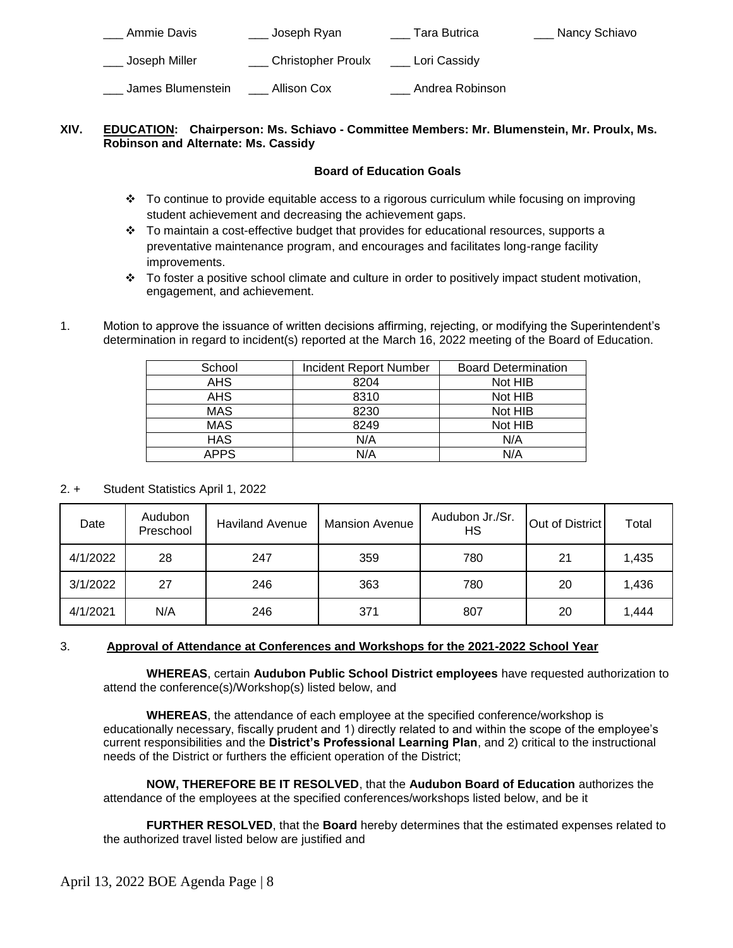| Ammie Davis       | Joseph Ryan               | Tara Butrica    | Nancy Schiavo |
|-------------------|---------------------------|-----------------|---------------|
| Joseph Miller     | <b>Christopher Proulx</b> | Lori Cassidy    |               |
| James Blumenstein | Allison Cox               | Andrea Robinson |               |

# **XIV. EDUCATION: Chairperson: Ms. Schiavo - Committee Members: Mr. Blumenstein, Mr. Proulx, Ms. Robinson and Alternate: Ms. Cassidy**

# **Board of Education Goals**

- \* To continue to provide equitable access to a rigorous curriculum while focusing on improving student achievement and decreasing the achievement gaps.
- $\cdot \cdot$  To maintain a cost-effective budget that provides for educational resources, supports a preventative maintenance program, and encourages and facilitates long-range facility improvements.
- To foster a positive school climate and culture in order to positively impact student motivation, engagement, and achievement.
- 1. Motion to approve the issuance of written decisions affirming, rejecting, or modifying the Superintendent's determination in regard to incident(s) reported at the March 16, 2022 meeting of the Board of Education.

| School      | <b>Incident Report Number</b> | <b>Board Determination</b> |
|-------------|-------------------------------|----------------------------|
| <b>AHS</b>  | 8204                          | Not HIB                    |
| <b>AHS</b>  | 8310                          | Not HIB                    |
| <b>MAS</b>  | 8230                          | Not HIB                    |
| <b>MAS</b>  | 8249                          | Not HIB                    |
| <b>HAS</b>  | N/A                           | N/A                        |
| <b>APPS</b> | N/A                           | N/A                        |

# 2. + Student Statistics April 1, 2022

| Date     | Audubon<br>Preschool | <b>Haviland Avenue</b> | <b>Mansion Avenue</b> | Audubon Jr./Sr.<br>НS | Out of District | Total |
|----------|----------------------|------------------------|-----------------------|-----------------------|-----------------|-------|
| 4/1/2022 | 28                   | 247                    | 359                   | 780                   | 21              | 1,435 |
| 3/1/2022 | 27                   | 246                    | 363                   | 780                   | 20              | 1,436 |
| 4/1/2021 | N/A                  | 246                    | 371                   | 807                   | 20              | 1,444 |

# 3. **Approval of Attendance at Conferences and Workshops for the 2021-2022 School Year**

 **WHEREAS**, certain **Audubon Public School District employees** have requested authorization to attend the conference(s)/Workshop(s) listed below, and

**WHEREAS**, the attendance of each employee at the specified conference/workshop is educationally necessary, fiscally prudent and 1) directly related to and within the scope of the employee's current responsibilities and the **District's Professional Learning Plan**, and 2) critical to the instructional needs of the District or furthers the efficient operation of the District;

**NOW, THEREFORE BE IT RESOLVED**, that the **Audubon Board of Education** authorizes the attendance of the employees at the specified conferences/workshops listed below, and be it

**FURTHER RESOLVED**, that the **Board** hereby determines that the estimated expenses related to the authorized travel listed below are justified and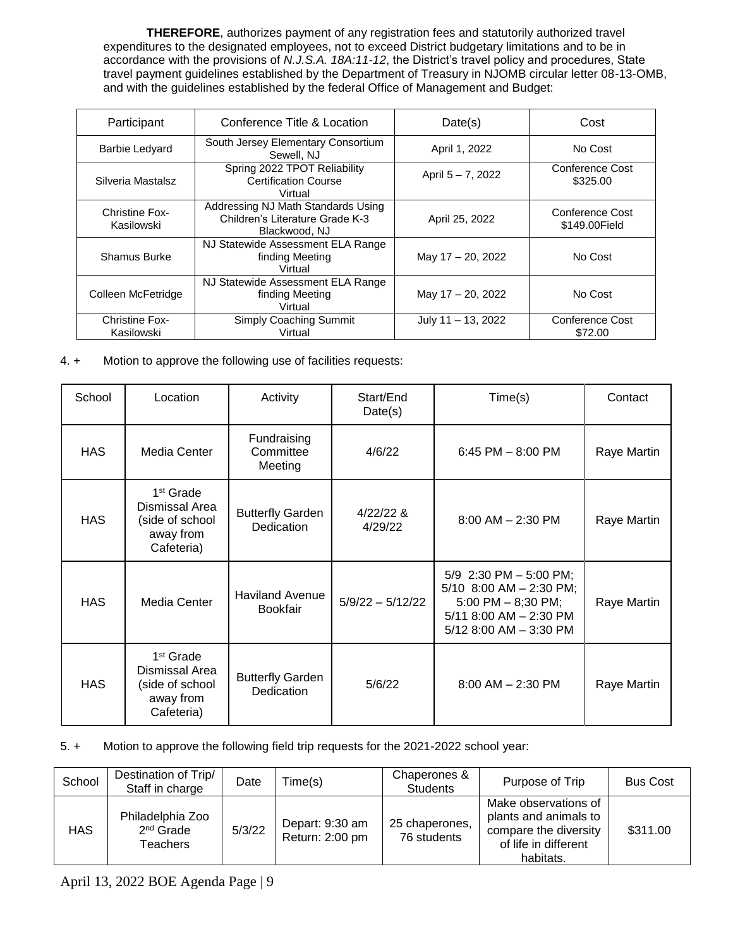**THEREFORE**, authorizes payment of any registration fees and statutorily authorized travel expenditures to the designated employees, not to exceed District budgetary limitations and to be in accordance with the provisions of *N.J.S.A. 18A:11-12*, the District's travel policy and procedures, State travel payment guidelines established by the Department of Treasury in NJOMB circular letter 08-13-OMB, and with the guidelines established by the federal Office of Management and Budget:

| Participant                         | Conference Title & Location                                                            | Date(s)               | Cost                             |
|-------------------------------------|----------------------------------------------------------------------------------------|-----------------------|----------------------------------|
| <b>Barbie Ledyard</b>               | South Jersey Elementary Consortium<br>Sewell, NJ                                       | April 1, 2022         | No Cost                          |
| Silveria Mastalsz                   | Spring 2022 TPOT Reliability<br><b>Certification Course</b><br>Virtual                 | April 5 - 7, 2022     | Conference Cost<br>\$325.00      |
| <b>Christine Fox-</b><br>Kasilowski | Addressing NJ Math Standards Using<br>Children's Literature Grade K-3<br>Blackwood, NJ | April 25, 2022        | Conference Cost<br>\$149,00Field |
| Shamus Burke                        | NJ Statewide Assessment ELA Range<br>finding Meeting<br>Virtual                        | May 17 - 20, 2022     | No Cost                          |
| Colleen McFetridge                  | NJ Statewide Assessment ELA Range<br>finding Meeting<br>Virtual                        | May 17 - 20, 2022     | No Cost                          |
| <b>Christine Fox-</b><br>Kasilowski | Simply Coaching Summit<br>Virtual                                                      | July $11 - 13$ , 2022 | Conference Cost<br>\$72.00       |

# 4. + Motion to approve the following use of facilities requests:

| School     | Location                                                                              | Activity                                  | Start/End<br>Date(s) | Time(s)                                                                                                                             | Contact     |
|------------|---------------------------------------------------------------------------------------|-------------------------------------------|----------------------|-------------------------------------------------------------------------------------------------------------------------------------|-------------|
| <b>HAS</b> | Media Center                                                                          | Fundraising<br>Committee<br>Meeting       | 4/6/22               | 6:45 PM $-$ 8:00 PM                                                                                                                 | Raye Martin |
| <b>HAS</b> | 1 <sup>st</sup> Grade<br>Dismissal Area<br>(side of school<br>away from<br>Cafeteria) | <b>Butterfly Garden</b><br>Dedication     | 4/22/228<br>4/29/22  | $8:00$ AM $- 2:30$ PM                                                                                                               | Raye Martin |
| <b>HAS</b> | Media Center                                                                          | <b>Haviland Avenue</b><br><b>Bookfair</b> | $5/9/22 - 5/12/22$   | 5/9 2:30 PM - 5:00 PM;<br>5/10 8:00 AM $-$ 2:30 PM;<br>5:00 PM $-$ 8;30 PM;<br>$5/11$ 8:00 AM $-$ 2:30 PM<br>5/12 8:00 AM - 3:30 PM | Raye Martin |
| <b>HAS</b> | 1 <sup>st</sup> Grade<br>Dismissal Area<br>(side of school<br>away from<br>Cafeteria) | <b>Butterfly Garden</b><br>Dedication     | 5/6/22               | $8:00$ AM $- 2:30$ PM                                                                                                               | Raye Martin |

# 5. + Motion to approve the following field trip requests for the 2021-2022 school year:

| School     | Destination of Trip/<br>Staff in charge     | Date   | Time(s)                            | Chaperones &<br><b>Students</b> | Purpose of Trip                                                                                             | <b>Bus Cost</b> |
|------------|---------------------------------------------|--------|------------------------------------|---------------------------------|-------------------------------------------------------------------------------------------------------------|-----------------|
| <b>HAS</b> | Philadelphia Zoo<br>$2nd$ Grade<br>Teachers | 5/3/22 | Depart: 9:30 am<br>Return: 2:00 pm | 25 chaperones,<br>76 students   | Make observations of<br>plants and animals to<br>compare the diversity<br>of life in different<br>habitats. | \$311.00        |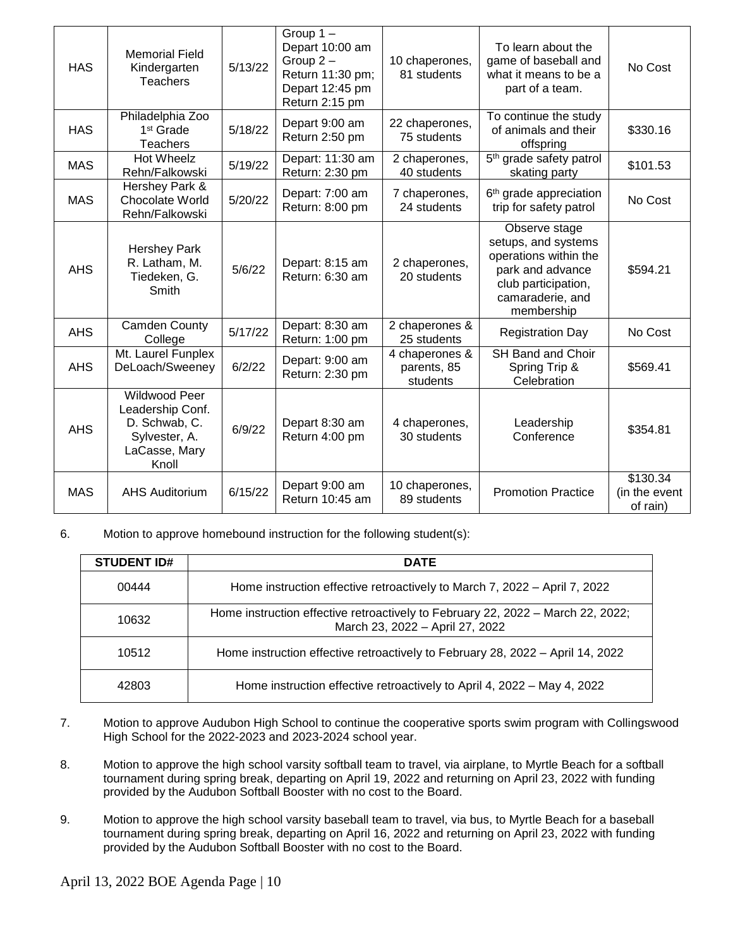| <b>HAS</b> | <b>Memorial Field</b><br>Kindergarten<br><b>Teachers</b>                                             | 5/13/22 | Group $1 -$<br>Depart 10:00 am<br>Group $2 -$<br>Return 11:30 pm;<br>Depart 12:45 pm<br>Return 2:15 pm | 10 chaperones,<br>81 students             | To learn about the<br>game of baseball and<br>what it means to be a<br>part of a team.                                                     | No Cost                               |
|------------|------------------------------------------------------------------------------------------------------|---------|--------------------------------------------------------------------------------------------------------|-------------------------------------------|--------------------------------------------------------------------------------------------------------------------------------------------|---------------------------------------|
| <b>HAS</b> | Philadelphia Zoo<br>1 <sup>st</sup> Grade<br>Teachers                                                | 5/18/22 | Depart 9:00 am<br>Return 2:50 pm                                                                       | 22 chaperones,<br>75 students             | To continue the study<br>of animals and their<br>offspring                                                                                 | \$330.16                              |
| <b>MAS</b> | <b>Hot Wheelz</b><br>Rehn/Falkowski                                                                  | 5/19/22 | Depart: 11:30 am<br>Return: 2:30 pm                                                                    | 2 chaperones,<br>40 students              | 5 <sup>th</sup> grade safety patrol<br>skating party                                                                                       | \$101.53                              |
| <b>MAS</b> | Hershey Park &<br>Chocolate World<br>Rehn/Falkowski                                                  | 5/20/22 | Depart: 7:00 am<br>Return: 8:00 pm                                                                     | 7 chaperones,<br>24 students              | 6 <sup>th</sup> grade appreciation<br>trip for safety patrol                                                                               | No Cost                               |
| <b>AHS</b> | <b>Hershey Park</b><br>R. Latham, M.<br>Tiedeken, G.<br>Smith                                        | 5/6/22  | Depart: 8:15 am<br>Return: 6:30 am                                                                     | 2 chaperones,<br>20 students              | Observe stage<br>setups, and systems<br>operations within the<br>park and advance<br>club participation,<br>camaraderie, and<br>membership | \$594.21                              |
| <b>AHS</b> | Camden County<br>College                                                                             | 5/17/22 | Depart: 8:30 am<br>Return: 1:00 pm                                                                     | 2 chaperones &<br>25 students             | <b>Registration Day</b>                                                                                                                    | No Cost                               |
| <b>AHS</b> | Mt. Laurel Funplex<br>DeLoach/Sweeney                                                                | 6/2/22  | Depart: 9:00 am<br>Return: 2:30 pm                                                                     | 4 chaperones &<br>parents, 85<br>students | SH Band and Choir<br>Spring Trip &<br>Celebration                                                                                          | \$569.41                              |
| <b>AHS</b> | <b>Wildwood Peer</b><br>Leadership Conf.<br>D. Schwab, C.<br>Sylvester, A.<br>LaCasse, Mary<br>Knoll | 6/9/22  | Depart 8:30 am<br>Return 4:00 pm                                                                       | 4 chaperones,<br>30 students              | Leadership<br>Conference                                                                                                                   | \$354.81                              |
| <b>MAS</b> | <b>AHS Auditorium</b>                                                                                | 6/15/22 | Depart 9:00 am<br>Return 10:45 am                                                                      | 10 chaperones,<br>89 students             | <b>Promotion Practice</b>                                                                                                                  | \$130.34<br>(in the event<br>of rain) |

6. Motion to approve homebound instruction for the following student(s):

| <b>STUDENT ID#</b> | <b>DATE</b>                                                                                                        |
|--------------------|--------------------------------------------------------------------------------------------------------------------|
| 00444              | Home instruction effective retroactively to March 7, 2022 – April 7, 2022                                          |
| 10632              | Home instruction effective retroactively to February 22, 2022 - March 22, 2022;<br>March 23, 2022 - April 27, 2022 |
| 10512              | Home instruction effective retroactively to February 28, 2022 – April 14, 2022                                     |
| 42803              | Home instruction effective retroactively to April 4, 2022 – May 4, 2022                                            |

- 7. Motion to approve Audubon High School to continue the cooperative sports swim program with Collingswood High School for the 2022-2023 and 2023-2024 school year.
- 8. Motion to approve the high school varsity softball team to travel, via airplane, to Myrtle Beach for a softball tournament during spring break, departing on April 19, 2022 and returning on April 23, 2022 with funding provided by the Audubon Softball Booster with no cost to the Board.
- 9. Motion to approve the high school varsity baseball team to travel, via bus, to Myrtle Beach for a baseball tournament during spring break, departing on April 16, 2022 and returning on April 23, 2022 with funding provided by the Audubon Softball Booster with no cost to the Board.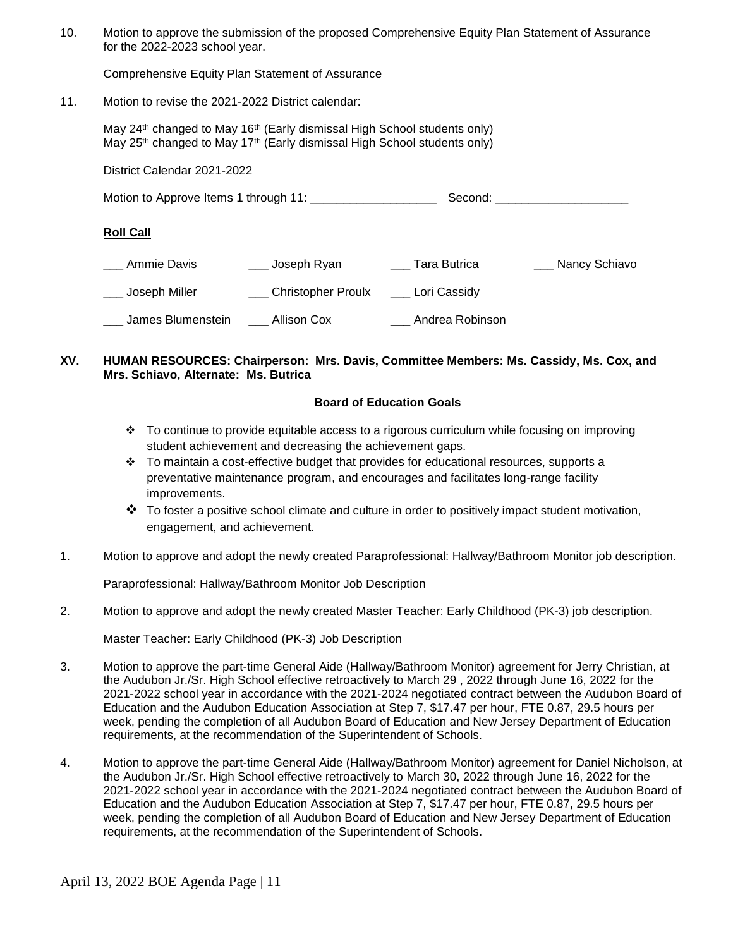10. Motion to approve the submission of the proposed Comprehensive Equity Plan Statement of Assurance for the 2022-2023 school year.

Comprehensive Equity Plan Statement of Assurance

11. Motion to revise the 2021-2022 District calendar:

May 24<sup>th</sup> changed to May 16<sup>th</sup> (Early dismissal High School students only) May  $25<sup>th</sup>$  changed to May 17<sup>th</sup> (Early dismissal High School students only)

District Calendar 2021-2022

Motion to Approve Items 1 through 11: \_\_\_\_\_\_\_\_\_\_\_\_\_\_\_\_\_\_\_ Second: \_\_\_\_\_\_\_\_\_\_\_\_\_\_\_\_\_\_\_\_

#### **Roll Call**

| Ammie Davis       | Joseph Ryan               | Tara Butrica    | Nancy Schiavo |
|-------------------|---------------------------|-----------------|---------------|
| Joseph Miller     | <b>Christopher Proulx</b> | Lori Cassidy    |               |
| James Blumenstein | Allison Cox               | Andrea Robinson |               |

#### **XV. HUMAN RESOURCES: Chairperson: Mrs. Davis, Committee Members: Ms. Cassidy, Ms. Cox, and Mrs. Schiavo, Alternate: Ms. Butrica**

#### **Board of Education Goals**

- To continue to provide equitable access to a rigorous curriculum while focusing on improving student achievement and decreasing the achievement gaps.
- $\div$  To maintain a cost-effective budget that provides for educational resources, supports a preventative maintenance program, and encourages and facilitates long-range facility improvements.
- $\clubsuit$  To foster a positive school climate and culture in order to positively impact student motivation, engagement, and achievement.
- 1. Motion to approve and adopt the newly created Paraprofessional: Hallway/Bathroom Monitor job description.

Paraprofessional: Hallway/Bathroom Monitor Job Description

2. Motion to approve and adopt the newly created Master Teacher: Early Childhood (PK-3) job description.

Master Teacher: Early Childhood (PK-3) Job Description

- 3. Motion to approve the part-time General Aide (Hallway/Bathroom Monitor) agreement for Jerry Christian, at the Audubon Jr./Sr. High School effective retroactively to March 29 , 2022 through June 16, 2022 for the 2021-2022 school year in accordance with the 2021-2024 negotiated contract between the Audubon Board of Education and the Audubon Education Association at Step 7, \$17.47 per hour, FTE 0.87, 29.5 hours per week, pending the completion of all Audubon Board of Education and New Jersey Department of Education requirements, at the recommendation of the Superintendent of Schools.
- 4. Motion to approve the part-time General Aide (Hallway/Bathroom Monitor) agreement for Daniel Nicholson, at the Audubon Jr./Sr. High School effective retroactively to March 30, 2022 through June 16, 2022 for the 2021-2022 school year in accordance with the 2021-2024 negotiated contract between the Audubon Board of Education and the Audubon Education Association at Step 7, \$17.47 per hour, FTE 0.87, 29.5 hours per week, pending the completion of all Audubon Board of Education and New Jersey Department of Education requirements, at the recommendation of the Superintendent of Schools.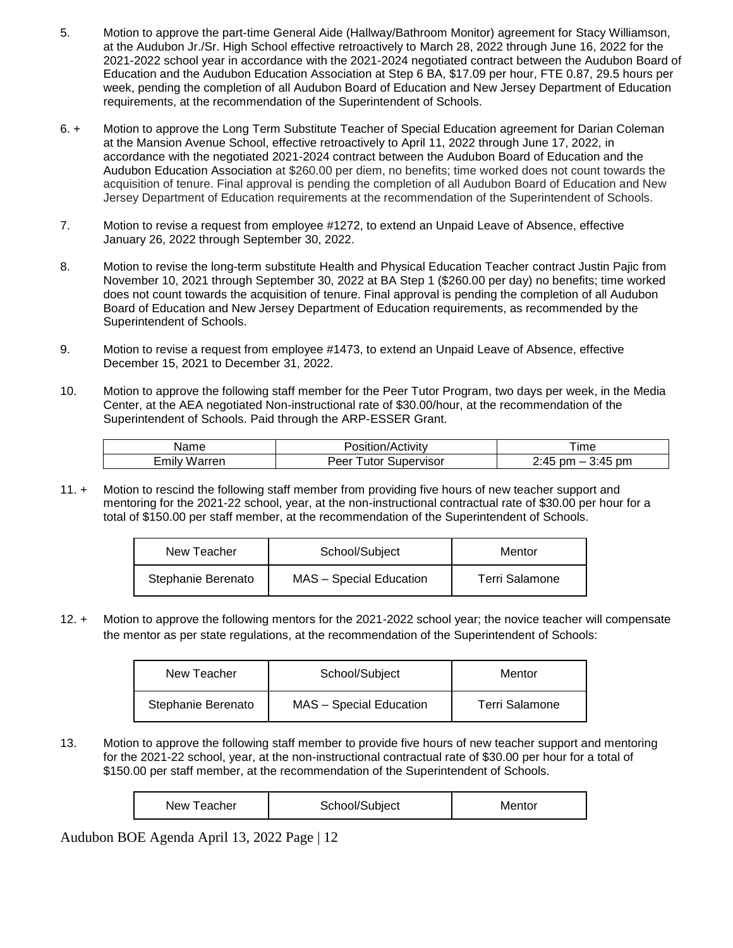- 5. Motion to approve the part-time General Aide (Hallway/Bathroom Monitor) agreement for Stacy Williamson, at the Audubon Jr./Sr. High School effective retroactively to March 28, 2022 through June 16, 2022 for the 2021-2022 school year in accordance with the 2021-2024 negotiated contract between the Audubon Board of Education and the Audubon Education Association at Step 6 BA, \$17.09 per hour, FTE 0.87, 29.5 hours per week, pending the completion of all Audubon Board of Education and New Jersey Department of Education requirements, at the recommendation of the Superintendent of Schools.
- 6. + Motion to approve the Long Term Substitute Teacher of Special Education agreement for Darian Coleman at the Mansion Avenue School, effective retroactively to April 11, 2022 through June 17, 2022, in accordance with the negotiated 2021-2024 contract between the Audubon Board of Education and the Audubon Education Association at \$260.00 per diem, no benefits; time worked does not count towards the acquisition of tenure. Final approval is pending the completion of all Audubon Board of Education and New Jersey Department of Education requirements at the recommendation of the Superintendent of Schools.
- 7. Motion to revise a request from employee #1272, to extend an Unpaid Leave of Absence, effective January 26, 2022 through September 30, 2022.
- 8. Motion to revise the long-term substitute Health and Physical Education Teacher contract Justin Pajic from November 10, 2021 through September 30, 2022 at BA Step 1 (\$260.00 per day) no benefits; time worked does not count towards the acquisition of tenure. Final approval is pending the completion of all Audubon Board of Education and New Jersey Department of Education requirements, as recommended by the Superintendent of Schools.
- 9. Motion to revise a request from employee #1473, to extend an Unpaid Leave of Absence, effective December 15, 2021 to December 31, 2022.
- 10. Motion to approve the following staff member for the Peer Tutor Program, two days per week, in the Media Center, at the AEA negotiated Non-instructional rate of \$30.00/hour, at the recommendation of the Superintendent of Schools. Paid through the ARP-ESSER Grant.

| $\Omega$      | osition/Activity                      | ıme                         |
|---------------|---------------------------------------|-----------------------------|
| ∟m⊪<br>∖rrer. | Supervisor<br>$    -$<br>Peel<br>utor | 41<br>pm<br>nm<br>.45<br>J. |

11. + Motion to rescind the following staff member from providing five hours of new teacher support and mentoring for the 2021-22 school, year, at the non-instructional contractual rate of \$30.00 per hour for a total of \$150.00 per staff member, at the recommendation of the Superintendent of Schools.

| New Teacher        | School/Subject          | Mentor         |
|--------------------|-------------------------|----------------|
| Stephanie Berenato | MAS - Special Education | Terri Salamone |

12. + Motion to approve the following mentors for the 2021-2022 school year; the novice teacher will compensate the mentor as per state regulations, at the recommendation of the Superintendent of Schools:

| New Teacher        | School/Subject          | Mentor         |
|--------------------|-------------------------|----------------|
| Stephanie Berenato | MAS - Special Education | Terri Salamone |

13. Motion to approve the following staff member to provide five hours of new teacher support and mentoring for the 2021-22 school, year, at the non-instructional contractual rate of \$30.00 per hour for a total of \$150.00 per staff member, at the recommendation of the Superintendent of Schools.

| New Teacher | School/Subject | Mentor |
|-------------|----------------|--------|
|-------------|----------------|--------|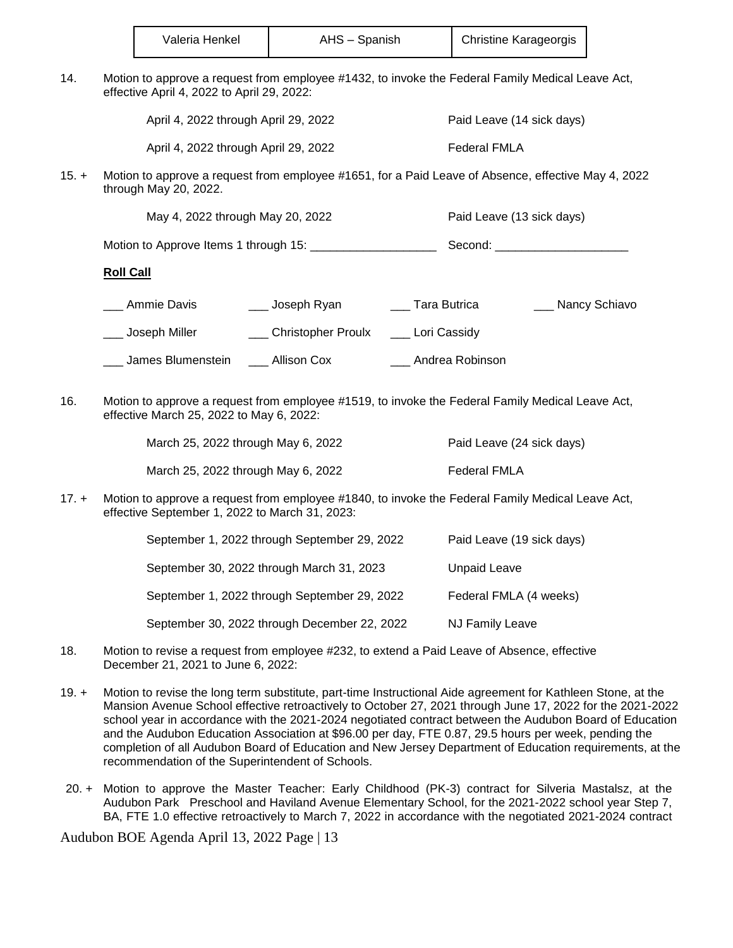| Valeria Henkel | AHS - Spanish | <b>Christine Karageorgis</b> |
|----------------|---------------|------------------------------|
|----------------|---------------|------------------------------|

14. Motion to approve a request from employee #1432, to invoke the Federal Family Medical Leave Act, effective April 4, 2022 to April 29, 2022:

April 4, 2022 through April 29, 2022 Paid Leave (14 sick days)

April 4, 2022 through April 29, 2022 Federal FMLA

15. + Motion to approve a request from employee #1651, for a Paid Leave of Absence, effective May 4, 2022 through May 20, 2022.

May 4, 2022 through May 20, 2022 **Paid Leave (13 sick days)** 

Motion to Approve Items 1 through 15:  $\qquad \qquad$  Second:  $\qquad$ 

## **Roll Call**

\_ Ammie Davis \_\_\_\_\_\_\_\_ Joseph Ryan \_\_\_\_\_\_\_\_ Tara Butrica \_\_\_\_\_\_\_\_\_\_ Nancy Schiavo

Loseph Miller **Lace Let Christopher Proulx** Lori Cassidy

- \_\_\_ James Blumenstein \_\_\_ Allison Cox \_\_\_ Andrea Robinson
- 16. Motion to approve a request from employee #1519, to invoke the Federal Family Medical Leave Act, effective March 25, 2022 to May 6, 2022:

| March 25, 2022 through May 6, 2022 | Paid Leave (24 sick days) |
|------------------------------------|---------------------------|
| March 25, 2022 through May 6, 2022 | Federal FMLA              |

17. + Motion to approve a request from employee #1840, to invoke the Federal Family Medical Leave Act, effective September 1, 2022 to March 31, 2023:

| September 1, 2022 through September 29, 2022 | Paid Leave (19 sick days) |
|----------------------------------------------|---------------------------|
| September 30, 2022 through March 31, 2023    | <b>Unpaid Leave</b>       |
| September 1, 2022 through September 29, 2022 | Federal FMLA (4 weeks)    |
| September 30, 2022 through December 22, 2022 | <b>NJ Family Leave</b>    |

- 18. Motion to revise a request from employee #232, to extend a Paid Leave of Absence, effective December 21, 2021 to June 6, 2022:
- 19. + Motion to revise the long term substitute, part-time Instructional Aide agreement for Kathleen Stone, at the Mansion Avenue School effective retroactively to October 27, 2021 through June 17, 2022 for the 2021-2022 school year in accordance with the 2021-2024 negotiated contract between the Audubon Board of Education and the Audubon Education Association at \$96.00 per day, FTE 0.87, 29.5 hours per week, pending the completion of all Audubon Board of Education and New Jersey Department of Education requirements, at the recommendation of the Superintendent of Schools.
- 20. + Motion to approve the Master Teacher: Early Childhood (PK-3) contract for Silveria Mastalsz, at the Audubon Park Preschool and Haviland Avenue Elementary School, for the 2021-2022 school year Step 7, BA, FTE 1.0 effective retroactively to March 7, 2022 in accordance with the negotiated 2021-2024 contract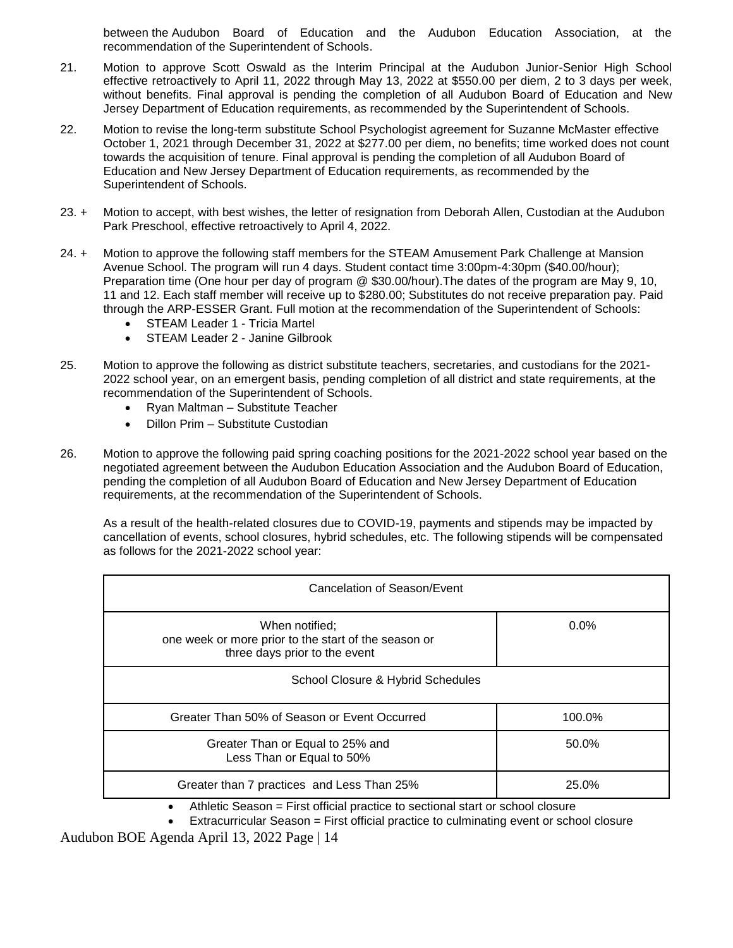between the Audubon Board of Education and the Audubon Education Association, at the recommendation of the Superintendent of Schools.

- 21. Motion to approve Scott Oswald as the Interim Principal at the Audubon Junior-Senior High School effective retroactively to April 11, 2022 through May 13, 2022 at \$550.00 per diem, 2 to 3 days per week, without benefits. Final approval is pending the completion of all Audubon Board of Education and New Jersey Department of Education requirements, as recommended by the Superintendent of Schools.
- 22. Motion to revise the long-term substitute School Psychologist agreement for Suzanne McMaster effective October 1, 2021 through December 31, 2022 at \$277.00 per diem, no benefits; time worked does not count towards the acquisition of tenure. Final approval is pending the completion of all Audubon Board of Education and New Jersey Department of Education requirements, as recommended by the Superintendent of Schools.
- 23. + Motion to accept, with best wishes, the letter of resignation from Deborah Allen, Custodian at the Audubon Park Preschool, effective retroactively to April 4, 2022.
- 24. + Motion to approve the following staff members for the STEAM Amusement Park Challenge at Mansion Avenue School. The program will run 4 days. Student contact time 3:00pm-4:30pm (\$40.00/hour); Preparation time (One hour per day of program @ \$30.00/hour).The dates of the program are May 9, 10, 11 and 12. Each staff member will receive up to \$280.00; Substitutes do not receive preparation pay. Paid through the ARP-ESSER Grant. Full motion at the recommendation of the Superintendent of Schools:
	- STEAM Leader 1 Tricia Martel
	- STEAM Leader 2 Janine Gilbrook
- 25. Motion to approve the following as district substitute teachers, secretaries, and custodians for the 2021- 2022 school year, on an emergent basis, pending completion of all district and state requirements, at the recommendation of the Superintendent of Schools.
	- Ryan Maltman Substitute Teacher
	- Dillon Prim Substitute Custodian
- 26. Motion to approve the following paid spring coaching positions for the 2021-2022 school year based on the negotiated agreement between the Audubon Education Association and the Audubon Board of Education, pending the completion of all Audubon Board of Education and New Jersey Department of Education requirements, at the recommendation of the Superintendent of Schools.

As a result of the health-related closures due to COVID-19, payments and stipends may be impacted by cancellation of events, school closures, hybrid schedules, etc. The following stipends will be compensated as follows for the 2021-2022 school year:

| Cancelation of Season/Event                                                                             |        |  |
|---------------------------------------------------------------------------------------------------------|--------|--|
| When notified;<br>one week or more prior to the start of the season or<br>three days prior to the event | 0.0%   |  |
| School Closure & Hybrid Schedules                                                                       |        |  |
| Greater Than 50% of Season or Event Occurred                                                            | 100.0% |  |
| Greater Than or Equal to 25% and<br>Less Than or Equal to 50%                                           | 50.0%  |  |
| Greater than 7 practices and Less Than 25%                                                              | 25.0%  |  |

- Athletic Season = First official practice to sectional start or school closure
- Extracurricular Season = First official practice to culminating event or school closure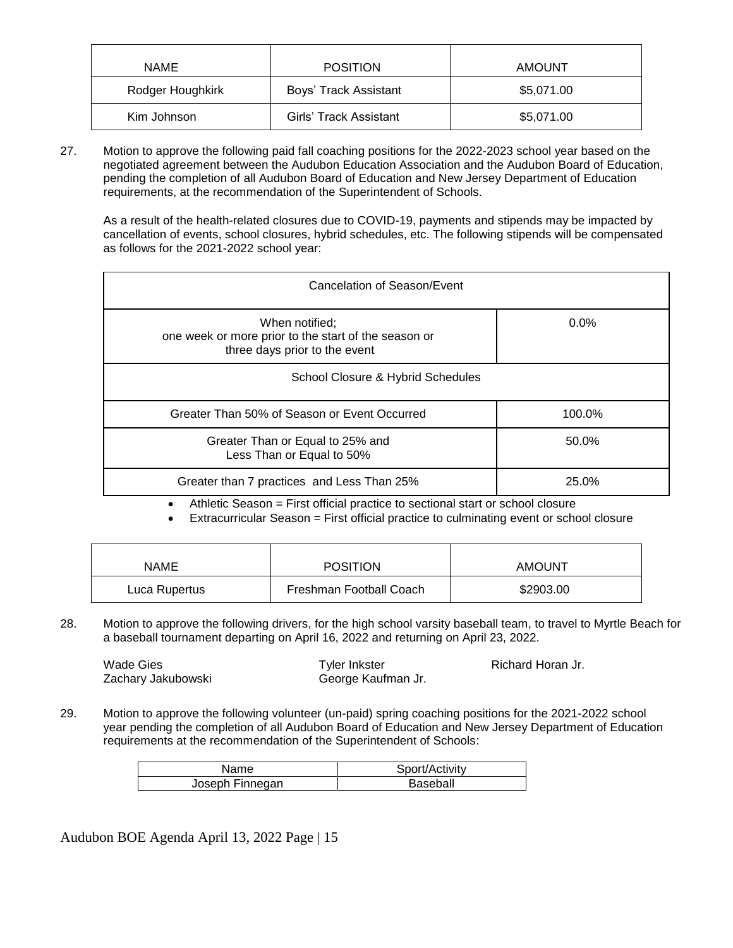| <b>NAME</b>      | <b>POSITION</b>        | <b>AMOUNT</b> |
|------------------|------------------------|---------------|
| Rodger Houghkirk | Boys' Track Assistant  | \$5,071.00    |
| Kim Johnson      | Girls' Track Assistant | \$5,071.00    |

27. Motion to approve the following paid fall coaching positions for the 2022-2023 school year based on the negotiated agreement between the Audubon Education Association and the Audubon Board of Education, pending the completion of all Audubon Board of Education and New Jersey Department of Education requirements, at the recommendation of the Superintendent of Schools.

As a result of the health-related closures due to COVID-19, payments and stipends may be impacted by cancellation of events, school closures, hybrid schedules, etc. The following stipends will be compensated as follows for the 2021-2022 school year:

| Cancelation of Season/Event                                                                             |         |  |
|---------------------------------------------------------------------------------------------------------|---------|--|
| When notified;<br>one week or more prior to the start of the season or<br>three days prior to the event | $0.0\%$ |  |
| School Closure & Hybrid Schedules                                                                       |         |  |
| Greater Than 50% of Season or Event Occurred                                                            | 100.0%  |  |
| Greater Than or Equal to 25% and<br>Less Than or Equal to 50%                                           | 50.0%   |  |
| Greater than 7 practices and Less Than 25%                                                              | 25.0%   |  |

Athletic Season = First official practice to sectional start or school closure

Extracurricular Season = First official practice to culminating event or school closure

| <b>NAME</b>   | <b>POSITION</b>         | <b>AMOUNT</b> |
|---------------|-------------------------|---------------|
| Luca Rupertus | Freshman Football Coach | \$2903.00     |

28. Motion to approve the following drivers, for the high school varsity baseball team, to travel to Myrtle Beach for a baseball tournament departing on April 16, 2022 and returning on April 23, 2022.

Wade Gies **Tyler Inkster Tyler Inkster** Richard Horan Jr.

Zachary Jakubowski George Kaufman Jr.

29. Motion to approve the following volunteer (un-paid) spring coaching positions for the 2021-2022 school year pending the completion of all Audubon Board of Education and New Jersey Department of Education requirements at the recommendation of the Superintendent of Schools:

| Name            | Sport/Activity |
|-----------------|----------------|
| Joseph Finnegan | Baseball       |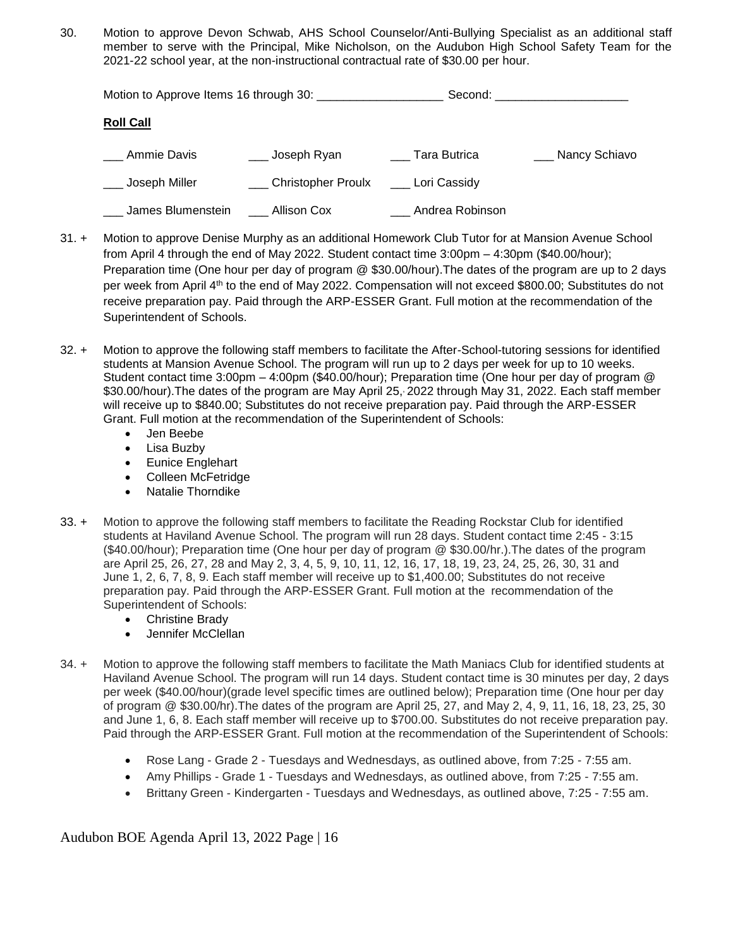30. Motion to approve Devon Schwab, AHS School Counselor/Anti-Bullying Specialist as an additional staff member to serve with the Principal, Mike Nicholson, on the Audubon High School Safety Team for the 2021-22 school year, at the non-instructional contractual rate of \$30.00 per hour.

|                   |                    |                 | Second: the contract of the contract of the contract of the contract of the contract of the contract of the contract of the contract of the contract of the contract of the contract of the contract of the contract of the co |
|-------------------|--------------------|-----------------|--------------------------------------------------------------------------------------------------------------------------------------------------------------------------------------------------------------------------------|
| <b>Roll Call</b>  |                    |                 |                                                                                                                                                                                                                                |
| Ammie Davis       | ___ Joseph Ryan    | Tara Butrica    | ___ Nancy Schiavo                                                                                                                                                                                                              |
| Joseph Miller     | Christopher Proulx | Lori Cassidy    |                                                                                                                                                                                                                                |
| James Blumenstein | Allison Cox        | Andrea Robinson |                                                                                                                                                                                                                                |

- 31. + Motion to approve Denise Murphy as an additional Homework Club Tutor for at Mansion Avenue School from April 4 through the end of May 2022. Student contact time 3:00pm – 4:30pm (\$40.00/hour); Preparation time (One hour per day of program @ \$30.00/hour).The dates of the program are up to 2 days per week from April 4<sup>th</sup> to the end of May 2022. Compensation will not exceed \$800.00; Substitutes do not receive preparation pay. Paid through the ARP-ESSER Grant. Full motion at the recommendation of the Superintendent of Schools.
- 32. + Motion to approve the following staff members to facilitate the After-School-tutoring sessions for identified students at Mansion Avenue School. The program will run up to 2 days per week for up to 10 weeks. Student contact time 3:00pm – 4:00pm (\$40.00/hour); Preparation time (One hour per day of program @ \$30.00/hour).The dates of the program are May April 25, , 2022 through May 31, 2022. Each staff member will receive up to \$840.00; Substitutes do not receive preparation pay. Paid through the ARP-ESSER Grant. Full motion at the recommendation of the Superintendent of Schools:
	- Jen Beebe
	- Lisa Buzby
	- Eunice Englehart
	- Colleen McFetridge
	- Natalie Thorndike
- 33. + Motion to approve the following staff members to facilitate the Reading Rockstar Club for identified students at Haviland Avenue School. The program will run 28 days. Student contact time 2:45 - 3:15 (\$40.00/hour); Preparation time (One hour per day of program @ \$30.00/hr.).The dates of the program are April 25, 26, 27, 28 and May 2, 3, 4, 5, 9, 10, 11, 12, 16, 17, 18, 19, 23, 24, 25, 26, 30, 31 and June 1, 2, 6, 7, 8, 9. Each staff member will receive up to \$1,400.00; Substitutes do not receive preparation pay. Paid through the ARP-ESSER Grant. Full motion at the recommendation of the Superintendent of Schools:
	- Christine Brady
	- Jennifer McClellan
- 34. + Motion to approve the following staff members to facilitate the Math Maniacs Club for identified students at Haviland Avenue School. The program will run 14 days. Student contact time is 30 minutes per day, 2 days per week (\$40.00/hour)(grade level specific times are outlined below); Preparation time (One hour per day of program @ \$30.00/hr).The dates of the program are April 25, 27, and May 2, 4, 9, 11, 16, 18, 23, 25, 30 and June 1, 6, 8. Each staff member will receive up to \$700.00. Substitutes do not receive preparation pay. Paid through the ARP-ESSER Grant. Full motion at the recommendation of the Superintendent of Schools:
	- Rose Lang Grade 2 Tuesdays and Wednesdays, as outlined above, from 7:25 7:55 am.
	- Amy Phillips Grade 1 Tuesdays and Wednesdays, as outlined above, from 7:25 7:55 am.
	- Brittany Green Kindergarten Tuesdays and Wednesdays, as outlined above, 7:25 7:55 am.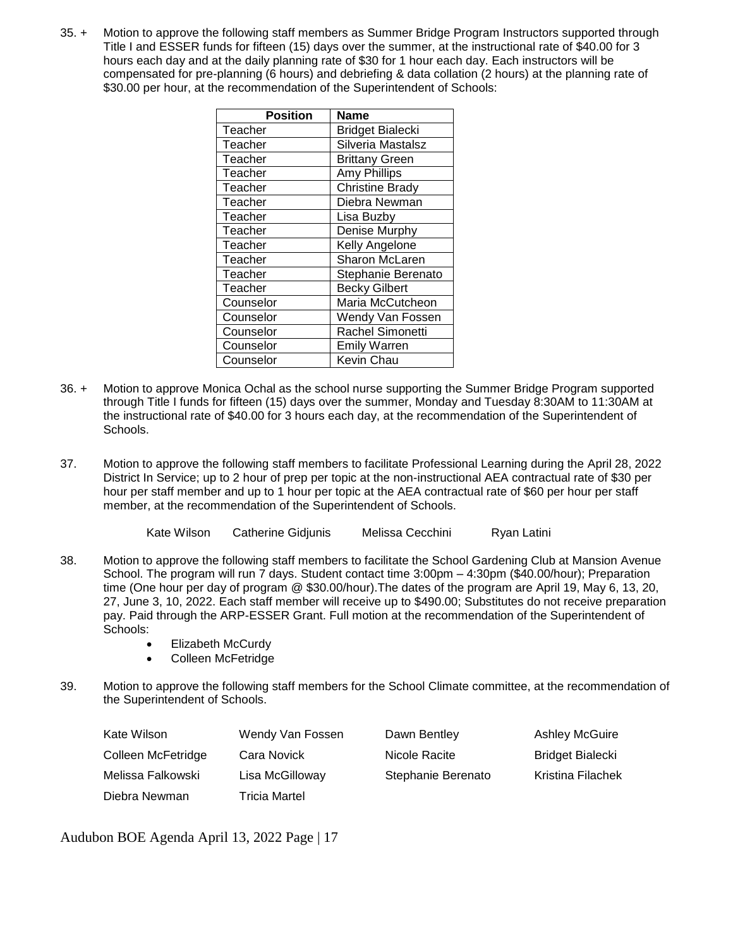35. + Motion to approve the following staff members as Summer Bridge Program Instructors supported through Title I and ESSER funds for fifteen (15) days over the summer, at the instructional rate of \$40.00 for 3 hours each day and at the daily planning rate of \$30 for 1 hour each day. Each instructors will be compensated for pre-planning (6 hours) and debriefing & data collation (2 hours) at the planning rate of \$30.00 per hour, at the recommendation of the Superintendent of Schools:

| <b>Position</b> | Name                    |
|-----------------|-------------------------|
| Teacher         | <b>Bridget Bialecki</b> |
| Teacher         | Silveria Mastalsz       |
| Teacher         | <b>Brittany Green</b>   |
| Teacher         | Amy Phillips            |
| Teacher         | <b>Christine Brady</b>  |
| Teacher         | Diebra Newman           |
| Teacher         | Lisa Buzby              |
| Teacher         | Denise Murphy           |
| Teacher         | Kelly Angelone          |
| Teacher         | Sharon McLaren          |
| Teacher         | Stephanie Berenato      |
| Teacher         | <b>Becky Gilbert</b>    |
| Counselor       | Maria McCutcheon        |
| Counselor       | Wendy Van Fossen        |
| Counselor       | Rachel Simonetti        |
| Counselor       | <b>Emily Warren</b>     |
| Counselor       | Kevin Chau              |

- 36. + Motion to approve Monica Ochal as the school nurse supporting the Summer Bridge Program supported through Title I funds for fifteen (15) days over the summer, Monday and Tuesday 8:30AM to 11:30AM at the instructional rate of \$40.00 for 3 hours each day, at the recommendation of the Superintendent of Schools.
- 37. Motion to approve the following staff members to facilitate Professional Learning during the April 28, 2022 District In Service; up to 2 hour of prep per topic at the non-instructional AEA contractual rate of \$30 per hour per staff member and up to 1 hour per topic at the AEA contractual rate of \$60 per hour per staff member, at the recommendation of the Superintendent of Schools.

| Kate Wilson<br>Melissa Cecchini<br>Catherine Gidiunis | Ryan Latini |  |
|-------------------------------------------------------|-------------|--|
|-------------------------------------------------------|-------------|--|

- 38. Motion to approve the following staff members to facilitate the School Gardening Club at Mansion Avenue School. The program will run 7 days. Student contact time 3:00pm – 4:30pm (\$40.00/hour); Preparation time (One hour per day of program @ \$30.00/hour).The dates of the program are April 19, May 6, 13, 20, 27, June 3, 10, 2022. Each staff member will receive up to \$490.00; Substitutes do not receive preparation pay. Paid through the ARP-ESSER Grant. Full motion at the recommendation of the Superintendent of Schools:
	- Elizabeth McCurdy
	- Colleen McFetridge
- 39. Motion to approve the following staff members for the School Climate committee, at the recommendation of the Superintendent of Schools.

| Kate Wilson        | Wendy Van Fossen     | Dawn Bentley       | <b>Ashley McGuire</b>   |
|--------------------|----------------------|--------------------|-------------------------|
| Colleen McFetridge | Cara Novick          | Nicole Racite      | <b>Bridget Bialecki</b> |
| Melissa Falkowski  | Lisa McGilloway      | Stephanie Berenato | Kristina Filachek       |
| Diebra Newman      | <b>Tricia Martel</b> |                    |                         |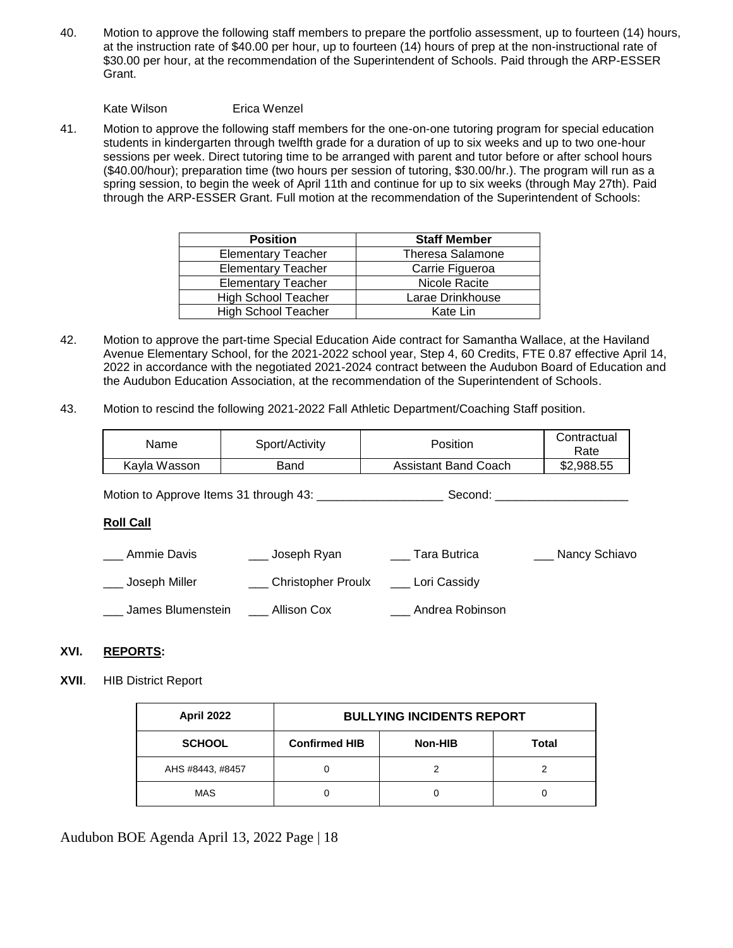40. Motion to approve the following staff members to prepare the portfolio assessment, up to fourteen (14) hours, at the instruction rate of \$40.00 per hour, up to fourteen (14) hours of prep at the non-instructional rate of \$30.00 per hour, at the recommendation of the Superintendent of Schools. Paid through the ARP-ESSER Grant.

Kate Wilson Erica Wenzel

41. Motion to approve the following staff members for the one-on-one tutoring program for special education students in kindergarten through twelfth grade for a duration of up to six weeks and up to two one-hour sessions per week. Direct tutoring time to be arranged with parent and tutor before or after school hours (\$40.00/hour); preparation time (two hours per session of tutoring, \$30.00/hr.). The program will run as a spring session, to begin the week of April 11th and continue for up to six weeks (through May 27th). Paid through the ARP-ESSER Grant. Full motion at the recommendation of the Superintendent of Schools:

| <b>Position</b><br><b>Staff Member</b> |                         |
|----------------------------------------|-------------------------|
| <b>Elementary Teacher</b>              | <b>Theresa Salamone</b> |
| <b>Elementary Teacher</b>              | Carrie Figueroa         |
| <b>Elementary Teacher</b>              | Nicole Racite           |
| <b>High School Teacher</b>             | Larae Drinkhouse        |
| <b>High School Teacher</b>             | Kate Lin                |

- 42. Motion to approve the part-time Special Education Aide contract for Samantha Wallace, at the Haviland Avenue Elementary School, for the 2021-2022 school year, Step 4, 60 Credits, FTE 0.87 effective April 14, 2022 in accordance with the negotiated 2021-2024 contract between the Audubon Board of Education and the Audubon Education Association, at the recommendation of the Superintendent of Schools.
- 43. Motion to rescind the following 2021-2022 Fall Athletic Department/Coaching Staff position.

| Name         | Sport/Activity | Position             | Contractual<br>Rate |
|--------------|----------------|----------------------|---------------------|
| Kavla Wasson | Band           | Assistant Band Coach | \$2,988.55          |

Motion to Approve Items 31 through 43: \_\_\_\_\_\_\_\_\_\_\_\_\_\_\_\_\_\_\_ Second: \_\_\_\_\_\_\_\_\_\_\_\_\_\_\_\_\_\_\_\_

#### **Roll Call**

| Ammie Davis       | Joseph Ryan        | Tara Butrica    | Nancy Schiavo |
|-------------------|--------------------|-----------------|---------------|
| , Joseph Miller   | Christopher Proulx | Lori Cassidy    |               |
| James Blumenstein | Allison Cox        | Andrea Robinson |               |

# **XVI. REPORTS:**

#### **XVII**. HIB District Report

| April 2022       | <b>BULLYING INCIDENTS REPORT</b> |         |       |
|------------------|----------------------------------|---------|-------|
| <b>SCHOOL</b>    | <b>Confirmed HIB</b>             | Non-HIB | Total |
| AHS #8443, #8457 |                                  |         |       |
| <b>MAS</b>       |                                  |         |       |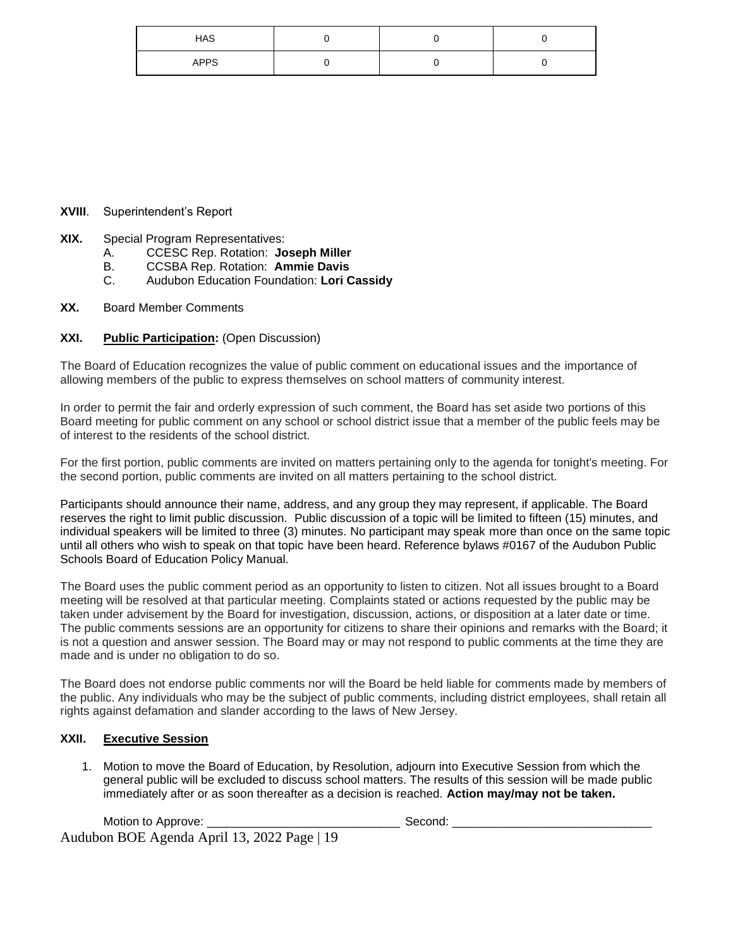| HAS         |  |  |
|-------------|--|--|
| <b>APPS</b> |  |  |

# **XVIII**. Superintendent's Report

- **XIX.** Special Program Representatives:
	- A. CCESC Rep. Rotation: **Joseph Miller**
	- B. CCSBA Rep. Rotation: **Ammie Davis**
	- C. Audubon Education Foundation: **Lori Cassidy**
- **XX.** Board Member Comments

# **XXI. Public Participation:** (Open Discussion)

The Board of Education recognizes the value of public comment on educational issues and the importance of allowing members of the public to express themselves on school matters of community interest.

In order to permit the fair and orderly expression of such comment, the Board has set aside two portions of this Board meeting for public comment on any school or school district issue that a member of the public feels may be of interest to the residents of the school district.

For the first portion, public comments are invited on matters pertaining only to the agenda for tonight's meeting. For the second portion, public comments are invited on all matters pertaining to the school district.

Participants should announce their name, address, and any group they may represent, if applicable. The Board reserves the right to limit public discussion. Public discussion of a topic will be limited to fifteen (15) minutes, and individual speakers will be limited to three (3) minutes. No participant may speak more than once on the same topic until all others who wish to speak on that topic have been heard. Reference bylaws #0167 of the Audubon Public Schools Board of Education Policy Manual.

The Board uses the public comment period as an opportunity to listen to citizen. Not all issues brought to a Board meeting will be resolved at that particular meeting. Complaints stated or actions requested by the public may be taken under advisement by the Board for investigation, discussion, actions, or disposition at a later date or time. The public comments sessions are an opportunity for citizens to share their opinions and remarks with the Board; it is not a question and answer session. The Board may or may not respond to public comments at the time they are made and is under no obligation to do so.

The Board does not endorse public comments nor will the Board be held liable for comments made by members of the public. Any individuals who may be the subject of public comments, including district employees, shall retain all rights against defamation and slander according to the laws of New Jersey.

# **XXII. Executive Session**

1. Motion to move the Board of Education, by Resolution, adjourn into Executive Session from which the general public will be excluded to discuss school matters. The results of this session will be made public immediately after or as soon thereafter as a decision is reached. **Action may/may not be taken.**

Audubon BOE Agenda April 13, 2022 Page | 19 Motion to Approve: \_\_\_\_\_\_\_\_\_\_\_\_\_\_\_\_\_\_\_\_\_\_\_\_\_\_\_\_\_ Second: \_\_\_\_\_\_\_\_\_\_\_\_\_\_\_\_\_\_\_\_\_\_\_\_\_\_\_\_\_\_